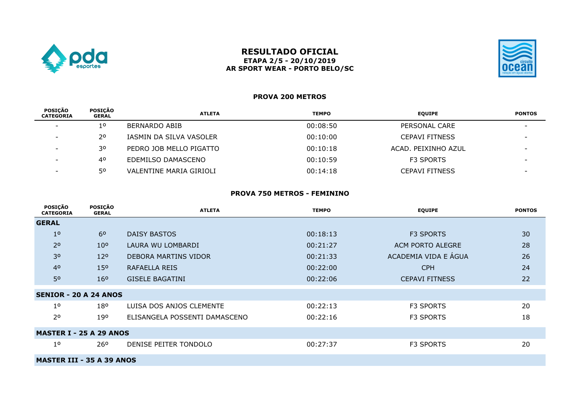

## **RESULTADO OFICIAL ETAPA 2/5 - 20/10/2019 AR SPORT WEAR - PORTO BELO/SC**



# **PROVA 200 METROS**

| <b>POSICÃO</b><br><b>CATEGORIA</b> | <b>POSICÃO</b><br><b>GERAL</b> | <b>ATLETA</b>           | <b>TEMPO</b> | <b>EQUIPE</b>         | <b>PONTOS</b>            |
|------------------------------------|--------------------------------|-------------------------|--------------|-----------------------|--------------------------|
| $\sim$                             | 10                             | BERNARDO ABIB           | 00:08:50     | PERSONAL CARE         | $\overline{\phantom{0}}$ |
| $\sim$                             | 20                             | IASMIN DA SILVA VASOLER | 00:10:00     | <b>CEPAVI FITNESS</b> | $\overline{\phantom{0}}$ |
| $\sim$                             | 30                             | PEDRO JOB MELLO PIGATTO | 00:10:18     | ACAD. PEIXINHO AZUL   | $\sim$                   |
|                                    | 40                             | EDEMILSO DAMASCENO      | 00:10:59     | <b>F3 SPORTS</b>      |                          |
|                                    | 50                             | VALENTINE MARIA GIRIOLI | 00:14:18     | <b>CEPAVI FITNESS</b> |                          |
|                                    |                                |                         |              |                       |                          |

### **PROVA 750 METROS - FEMININO**

| <b>POSIÇÃO</b><br><b>CATEGORIA</b> | POSIÇÃO<br><b>GERAL</b>        | <b>ATLETA</b>                 | <b>TEMPO</b> | <b>EQUIPE</b>         | <b>PONTOS</b> |  |  |
|------------------------------------|--------------------------------|-------------------------------|--------------|-----------------------|---------------|--|--|
| <b>GERAL</b>                       |                                |                               |              |                       |               |  |  |
| 1 <sup>o</sup>                     | 6 <sup>0</sup>                 | <b>DAISY BASTOS</b>           | 00:18:13     | <b>F3 SPORTS</b>      | 30            |  |  |
| 2 <sup>o</sup>                     | 10 <sup>o</sup>                | LAURA WU LOMBARDI             | 00:21:27     | ACM PORTO ALEGRE      | 28            |  |  |
| 30                                 | 12 <sup>o</sup>                | DEBORA MARTINS VIDOR          | 00:21:33     | ACADEMIA VIDA E ÁGUA  | 26            |  |  |
| 4 <sup>0</sup>                     | 15 <sup>o</sup>                | RAFAELLA REIS                 | 00:22:00     | <b>CPH</b>            | 24            |  |  |
| 50                                 | 16 <sup>o</sup>                | <b>GISELE BAGATINI</b>        | 00:22:06     | <b>CEPAVI FITNESS</b> | 22            |  |  |
| <b>SENIOR - 20 A 24 ANOS</b>       |                                |                               |              |                       |               |  |  |
| 1 <sup>0</sup>                     | 180                            | LUISA DOS ANJOS CLEMENTE      | 00:22:13     | <b>F3 SPORTS</b>      | 20            |  |  |
| 2 <sup>o</sup>                     | 19°                            | ELISANGELA POSSENTI DAMASCENO | 00:22:16     | F3 SPORTS             | 18            |  |  |
|                                    | <b>MASTER I - 25 A 29 ANOS</b> |                               |              |                       |               |  |  |
| $1^{\circ}$                        | 26 <sup>o</sup>                | DENISE PEITER TONDOLO         | 00:27:37     | <b>F3 SPORTS</b>      | 20            |  |  |
| <b>MASTER III - 35 A 39 ANOS</b>   |                                |                               |              |                       |               |  |  |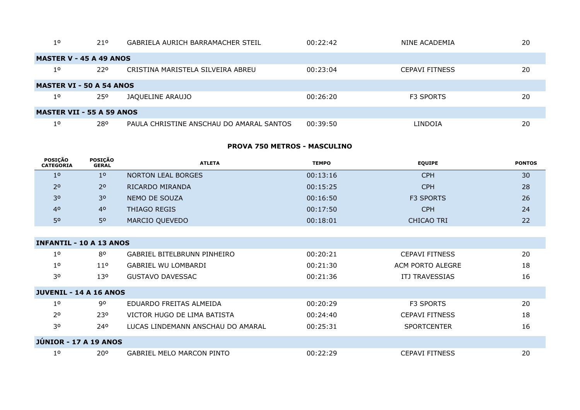| 1 <sup>o</sup>                   | 210                            | GABRIELA AURICH BARRAMACHER STEIL        | 00:22:42 | NINE ACADEMIA         | 20 |  |  |
|----------------------------------|--------------------------------|------------------------------------------|----------|-----------------------|----|--|--|
|                                  | <b>MASTER V - 45 A 49 ANOS</b> |                                          |          |                       |    |  |  |
| $1^{\circ}$                      | 220                            | CRISTINA MARISTELA SILVEIRA ABREU        | 00:23:04 | <b>CEPAVI FITNESS</b> | 20 |  |  |
| <b>MASTER VI - 50 A 54 ANOS</b>  |                                |                                          |          |                       |    |  |  |
| $1^{\circ}$                      | 250                            | JAQUELINE ARAUJO                         | 00:26:20 | <b>F3 SPORTS</b>      | 20 |  |  |
| <b>MASTER VII - 55 A 59 ANOS</b> |                                |                                          |          |                       |    |  |  |
| 10                               | 280                            | PAULA CHRISTINE ANSCHAU DO AMARAL SANTOS | 00:39:50 | LINDOIA               | 20 |  |  |

## **PROVA 750 METROS - MASCULINO**

| <b>POSIÇÃO</b><br><b>CATEGORIA</b> | <b>POSIÇÃO</b><br><b>GERAL</b> | <b>ATLETA</b>                     | <b>TEMPO</b> | <b>EQUIPE</b>         | <b>PONTOS</b> |
|------------------------------------|--------------------------------|-----------------------------------|--------------|-----------------------|---------------|
| 1 <sup>0</sup>                     | 1 <sup>0</sup>                 | <b>NORTON LEAL BORGES</b>         | 00:13:16     | <b>CPH</b>            | 30            |
| 2 <sup>o</sup>                     | 2 <sup>o</sup>                 | RICARDO MIRANDA                   | 00:15:25     | <b>CPH</b>            | 28            |
| 30                                 | 30                             | <b>NEMO DE SOUZA</b>              | 00:16:50     | <b>F3 SPORTS</b>      | 26            |
| 40                                 | 40                             | <b>THIAGO REGIS</b>               | 00:17:50     | <b>CPH</b>            | 24            |
| 50                                 | 50                             | MARCIO QUEVEDO                    | 00:18:01     | <b>CHICAO TRI</b>     | 22            |
|                                    |                                |                                   |              |                       |               |
| <b>INFANTIL - 10 A 13 ANOS</b>     |                                |                                   |              |                       |               |
| 1 <sup>o</sup>                     | 80                             | GABRIEL BITELBRUNN PINHEIRO       | 00:20:21     | <b>CEPAVI FITNESS</b> | 20            |
| 1 <sup>0</sup>                     | 11 <sup>o</sup>                | GABRIEL WU LOMBARDI               | 00:21:30     | ACM PORTO ALEGRE      | 18            |
| 30                                 | 130                            | <b>GUSTAVO DAVESSAC</b>           | 00:21:36     | ITJ TRAVESSIAS        | 16            |
| <b>JUVENIL - 14 A 16 ANOS</b>      |                                |                                   |              |                       |               |
| 1 <sup>o</sup>                     | 90                             | EDUARDO FREITAS ALMEIDA           | 00:20:29     | F3 SPORTS             | 20            |
| 20                                 | 230                            | VICTOR HUGO DE LIMA BATISTA       | 00:24:40     | <b>CEPAVI FITNESS</b> | 18            |
| 30                                 | 240                            | LUCAS LINDEMANN ANSCHAU DO AMARAL | 00:25:31     | <b>SPORTCENTER</b>    | 16            |
| <b>JÚNIOR - 17 A 19 ANOS</b>       |                                |                                   |              |                       |               |
| 1 <sup>0</sup>                     | $20^{\circ}$                   | <b>GABRIEL MELO MARCON PINTO</b>  | 00:22:29     | <b>CEPAVI FITNESS</b> | 20            |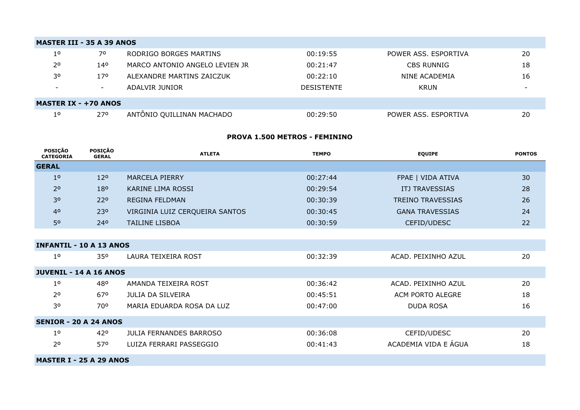| <b>MASTER III - 35 A 39 ANOS</b> |                             |                                |                   |                      |    |  |  |  |
|----------------------------------|-----------------------------|--------------------------------|-------------------|----------------------|----|--|--|--|
| $1^{\circ}$                      | 70                          | RODRIGO BORGES MARTINS         | 00:19:55          | POWER ASS. ESPORTIVA | 20 |  |  |  |
| 2 <sup>o</sup>                   | 140                         | MARCO ANTONIO ANGELO LEVIEN JR | 00:21:47          | <b>CBS RUNNIG</b>    | 18 |  |  |  |
| 30                               | 17 <sup>o</sup>             | ALEXANDRE MARTINS ZAICZUK      | 00:22:10          | NINE ACADEMIA        | 16 |  |  |  |
| $\sim$                           | $\overline{\phantom{a}}$    | ADALVIR JUNIOR                 | <b>DESISTENTE</b> | KRUN                 |    |  |  |  |
|                                  | <b>MASTER IX - +70 ANOS</b> |                                |                   |                      |    |  |  |  |
| $1^{\circ}$                      | 270                         | ANTÔNIO QUILLINAN MACHADO      | 00:29:50          | POWER ASS. ESPORTIVA | 20 |  |  |  |

#### **PROVA 1.500 METROS - FEMININO**

| <b>POSICÃO</b><br><b>CATEGORIA</b> | POSIÇÃO<br><b>GERAL</b> | <b>ATLETA</b>                  | <b>TEMPO</b> | <b>EQUIPE</b>            | <b>PONTOS</b> |  |
|------------------------------------|-------------------------|--------------------------------|--------------|--------------------------|---------------|--|
| <b>GERAL</b>                       |                         |                                |              |                          |               |  |
| 1 <sup>0</sup>                     | 12 <sup>o</sup>         | <b>MARCELA PIERRY</b>          | 00:27:44     | FPAE   VIDA ATIVA        | 30            |  |
| 2 <sup>o</sup>                     | 180                     | KARINE LIMA ROSSI              | 00:29:54     | ITJ TRAVESSIAS           | 28            |  |
| 30                                 | 220                     | <b>REGINA FELDMAN</b>          | 00:30:39     | <b>TREINO TRAVESSIAS</b> | 26            |  |
| 4 <sup>0</sup>                     | 230                     | VIRGINIA LUIZ CERQUEIRA SANTOS | 00:30:45     | <b>GANA TRAVESSIAS</b>   | 24            |  |
| 50                                 | 240                     | <b>TAILINE LISBOA</b>          | 00:30:59     | CEFID/UDESC              | 22            |  |
|                                    |                         |                                |              |                          |               |  |
| <b>INFANTIL - 10 A 13 ANOS</b>     |                         |                                |              |                          |               |  |
| $1^{\circ}$                        | 35 <sup>o</sup>         | LAURA TEIXEIRA ROST            | 00:32:39     | ACAD. PEIXINHO AZUL      | 20            |  |
| <b>JUVENIL - 14 A 16 ANOS</b>      |                         |                                |              |                          |               |  |
| 1 <sup>o</sup>                     | 480                     | AMANDA TEIXEIRA ROST           | 00:36:42     | ACAD. PEIXINHO AZUL      | 20            |  |
| 20                                 | 670                     | <b>JULIA DA SILVEIRA</b>       | 00:45:51     | ACM PORTO ALEGRE         | 18            |  |
| 30                                 | 700                     | MARIA EDUARDA ROSA DA LUZ      | 00:47:00     | <b>DUDA ROSA</b>         | 16            |  |
| <b>SENIOR - 20 A 24 ANOS</b>       |                         |                                |              |                          |               |  |
| 1 <sup>o</sup>                     | 42°                     | <b>JULIA FERNANDES BARROSO</b> | 00:36:08     | CEFID/UDESC              | 20            |  |
| 2 <sup>o</sup>                     | 570                     | LUIZA FERRARI PASSEGGIO        | 00:41:43     | ACADEMIA VIDA E ÁGUA     | 18            |  |
| <b>MASTER I - 25 A 29 ANOS</b>     |                         |                                |              |                          |               |  |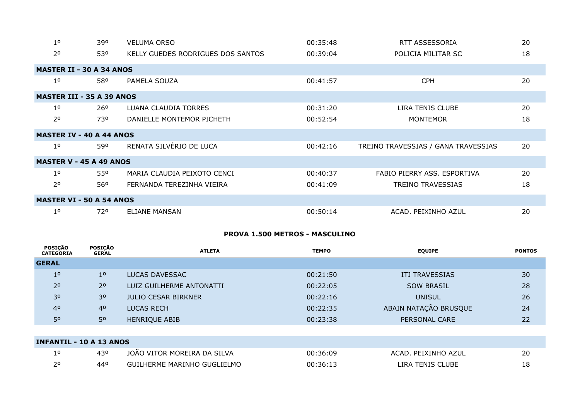| 1 <sup>0</sup>                   | 390                             | <b>VELUMA ORSO</b>                | 00:35:48 | RTT ASSESSORIA                      | 20 |  |  |
|----------------------------------|---------------------------------|-----------------------------------|----------|-------------------------------------|----|--|--|
| 20                               | 530                             | KELLY GUEDES RODRIGUES DOS SANTOS | 00:39:04 | POLICIA MILITAR SC                  | 18 |  |  |
| <b>MASTER II - 30 A 34 ANOS</b>  |                                 |                                   |          |                                     |    |  |  |
| 1 <sup>o</sup>                   | 580                             | PAMELA SOUZA                      | 00:41:57 | <b>CPH</b>                          | 20 |  |  |
| <b>MASTER III - 35 A 39 ANOS</b> |                                 |                                   |          |                                     |    |  |  |
| 1 <sup>o</sup>                   | <b>26°</b>                      | LUANA CLAUDIA TORRES              | 00:31:20 | LIRA TENIS CLUBE                    | 20 |  |  |
| 2 <sup>o</sup>                   | 730                             | DANIELLE MONTEMOR PICHETH         | 00:52:54 | <b>MONTEMOR</b>                     | 18 |  |  |
| <b>MASTER IV - 40 A 44 ANOS</b>  |                                 |                                   |          |                                     |    |  |  |
| 1 <sup>0</sup>                   | 590                             | RENATA SILVÉRIO DE LUCA           | 00:42:16 | TREINO TRAVESSIAS / GANA TRAVESSIAS | 20 |  |  |
| <b>MASTER V - 45 A 49 ANOS</b>   |                                 |                                   |          |                                     |    |  |  |
| 1 <sup>0</sup>                   | 550                             | MARIA CLAUDIA PEIXOTO CENCI       | 00:40:37 | FABIO PIERRY ASS. ESPORTIVA         | 20 |  |  |
| 2 <sup>o</sup>                   | 560                             | FERNANDA TEREZINHA VIEIRA         | 00:41:09 | <b>TREINO TRAVESSIAS</b>            | 18 |  |  |
|                                  | <b>MASTER VI - 50 A 54 ANOS</b> |                                   |          |                                     |    |  |  |
| 1 <sup>0</sup>                   | 720                             | ELIANE MANSAN                     | 00:50:14 | ACAD. PEIXINHO AZUL                 | 20 |  |  |

# **PROVA 1.500 METROS - MASCULINO**

| POSIÇÃO<br><b>CATEGORIA</b>    | <b>POSIÇÃO</b><br><b>GERAL</b> | <b>ATLETA</b>               | <b>TEMPO</b> | <b>EQUIPE</b>         | <b>PONTOS</b> |
|--------------------------------|--------------------------------|-----------------------------|--------------|-----------------------|---------------|
| <b>GERAL</b>                   |                                |                             |              |                       |               |
| 1 <sup>0</sup>                 | 1 <sup>0</sup>                 | LUCAS DAVESSAC              | 00:21:50     | <b>ITJ TRAVESSIAS</b> | 30            |
| 2 <sup>o</sup>                 | 2 <sup>o</sup>                 | LUIZ GUILHERME ANTONATTI    | 00:22:05     | <b>SOW BRASIL</b>     | 28            |
| 30                             | 30                             | <b>JULIO CESAR BIRKNER</b>  | 00:22:16     | <b>UNISUL</b>         | 26            |
| 4 <sup>0</sup>                 | 4 <sup>0</sup>                 | <b>LUCAS RECH</b>           | 00:22:35     | ABAIN NATAÇÃO BRUSQUE | 24            |
| 50                             | 50                             | <b>HENRIQUE ABIB</b>        | 00:23:38     | PERSONAL CARE         | 22            |
|                                |                                |                             |              |                       |               |
| <b>INFANTIL - 10 A 13 ANOS</b> |                                |                             |              |                       |               |
| $1^{\circ}$                    | 430                            | JOÃO VITOR MOREIRA DA SILVA | 00:36:09     | ACAD. PEIXINHO AZUL   | 20            |
| 2 <sup>o</sup>                 | 440                            | GUILHERME MARINHO GUGLIELMO | 00:36:13     | LIRA TENIS CLUBE      | 18            |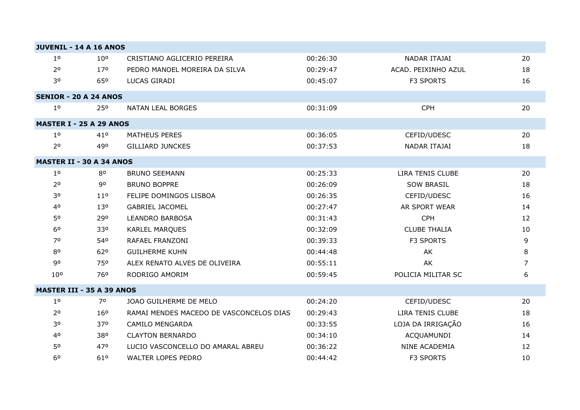| <b>JUVENIL - 14 A 16 ANOS</b>    |                 |                                         |          |                     |    |
|----------------------------------|-----------------|-----------------------------------------|----------|---------------------|----|
| 1 <sup>o</sup>                   | 10 <sup>o</sup> | CRISTIANO AGLICERIO PEREIRA             | 00:26:30 | NADAR ITAJAI        | 20 |
| 2 <sup>o</sup>                   | 17 <sup>o</sup> | PEDRO MANOEL MOREIRA DA SILVA           | 00:29:47 | ACAD. PEIXINHO AZUL | 18 |
| 30                               | 65 <sup>o</sup> | LUCAS GIRADI                            | 00:45:07 | <b>F3 SPORTS</b>    | 16 |
| <b>SENIOR - 20 A 24 ANOS</b>     |                 |                                         |          |                     |    |
| 1 <sup>0</sup>                   | 250             | <b>NATAN LEAL BORGES</b>                | 00:31:09 | <b>CPH</b>          | 20 |
| <b>MASTER I - 25 A 29 ANOS</b>   |                 |                                         |          |                     |    |
| 1 <sup>0</sup>                   | 41°             | <b>MATHEUS PERES</b>                    | 00:36:05 | CEFID/UDESC         | 20 |
| 2 <sup>o</sup>                   | 490             | <b>GILLIARD JUNCKES</b>                 | 00:37:53 | NADAR ITAJAI        | 18 |
| <b>MASTER II - 30 A 34 ANOS</b>  |                 |                                         |          |                     |    |
| 1 <sup>o</sup>                   | 80              | <b>BRUNO SEEMANN</b>                    | 00:25:33 | LIRA TENIS CLUBE    | 20 |
| 2 <sup>o</sup>                   | 90              | <b>BRUNO BOPPRE</b>                     | 00:26:09 | <b>SOW BRASIL</b>   | 18 |
| 30                               | 11 <sup>o</sup> | FELIPE DOMINGOS LISBOA                  | 00:26:35 | CEFID/UDESC         | 16 |
| 40                               | 130             | <b>GABRIEL JACOMEL</b>                  | 00:27:47 | AR SPORT WEAR       | 14 |
| 50                               | 290             | <b>LEANDRO BARBOSA</b>                  | 00:31:43 | <b>CPH</b>          | 12 |
| 60                               | 330             | KARLEL MARQUES                          | 00:32:09 | <b>CLUBE THALIA</b> | 10 |
| 70                               | 540             | RAFAEL FRANZONI                         | 00:39:33 | <b>F3 SPORTS</b>    | 9  |
| 80                               | 62°             | <b>GUILHERME KUHN</b>                   | 00:44:48 | AK                  | 8  |
| 90                               | 750             | ALEX RENATO ALVES DE OLIVEIRA           | 00:55:11 | AK                  | 7  |
| 10 <sup>o</sup>                  | 76 <sup>o</sup> | RODRIGO AMORIM                          | 00:59:45 | POLICIA MILITAR SC  | 6  |
| <b>MASTER III - 35 A 39 ANOS</b> |                 |                                         |          |                     |    |
| 1 <sup>0</sup>                   | 70              | JOAO GUILHERME DE MELO                  | 00:24:20 | CEFID/UDESC         | 20 |
| 2 <sup>o</sup>                   | 16 <sup>o</sup> | RAMAI MENDES MACEDO DE VASCONCELOS DIAS | 00:29:43 | LIRA TENIS CLUBE    | 18 |
| 30                               | 370             | <b>CAMILO MENGARDA</b>                  | 00:33:55 | LOJA DA IRRIGAÇÃO   | 16 |
| 40                               | 380             | <b>CLAYTON BERNARDO</b>                 | 00:34:10 | ACQUAMUNDI          | 14 |
| 50                               | 470             | LUCIO VASCONCELLO DO AMARAL ABREU       | 00:36:22 | NINE ACADEMIA       | 12 |
| 60                               | 61°             | <b>WALTER LOPES PEDRO</b>               | 00:44:42 | <b>F3 SPORTS</b>    | 10 |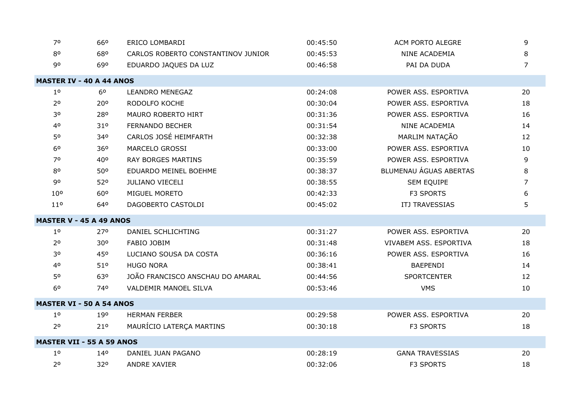| 70                               | 660             | ERICO LOMBARDI                     | 00:45:50 | ACM PORTO ALEGRE       | 9              |
|----------------------------------|-----------------|------------------------------------|----------|------------------------|----------------|
| 80                               | 680             | CARLOS ROBERTO CONSTANTINOV JUNIOR | 00:45:53 | NINE ACADEMIA          | 8              |
| 90                               | 690             | EDUARDO JAQUES DA LUZ              | 00:46:58 | PAI DA DUDA            | 7              |
| <b>MASTER IV - 40 A 44 ANOS</b>  |                 |                                    |          |                        |                |
| 1 <sup>o</sup>                   | 6 <sup>o</sup>  | <b>LEANDRO MENEGAZ</b>             | 00:24:08 | POWER ASS. ESPORTIVA   | 20             |
| 2 <sup>0</sup>                   | 200             | RODOLFO KOCHE                      | 00:30:04 | POWER ASS. ESPORTIVA   | 18             |
| 30                               | 280             | <b>MAURO ROBERTO HIRT</b>          | 00:31:36 | POWER ASS, ESPORTIVA   | 16             |
| 40                               | 310             | <b>FERNANDO BECHER</b>             | 00:31:54 | NINE ACADEMIA          | 14             |
| 50                               | 340             | CARLOS JOSÉ HEIMFARTH              | 00:32:38 | MARLIM NATAÇÃO         | 12             |
| 60                               | 36 <sup>o</sup> | <b>MARCELO GROSSI</b>              | 00:33:00 | POWER ASS. ESPORTIVA   | 10             |
| 70                               | 40°             | <b>RAY BORGES MARTINS</b>          | 00:35:59 | POWER ASS. ESPORTIVA   | 9              |
| 80                               | 50°             | EDUARDO MEINEL BOEHME              | 00:38:37 | BLUMENAU ÁGUAS ABERTAS | 8              |
| 90                               | 520             | <b>JULIANO VIECELI</b>             | 00:38:55 | SEM EQUIPE             | $\overline{7}$ |
| 10 <sup>o</sup>                  | 60°             | MIGUEL MORETO                      | 00:42:33 | F3 SPORTS              | 6              |
| 11 <sup>o</sup>                  | 640             | DAGOBERTO CASTOLDI                 | 00:45:02 | ITJ TRAVESSIAS         | 5              |
| <b>MASTER V - 45 A 49 ANOS</b>   |                 |                                    |          |                        |                |
| 1 <sup>o</sup>                   | 270             | DANIEL SCHLICHTING                 | 00:31:27 | POWER ASS. ESPORTIVA   | 20             |
| 2 <sup>o</sup>                   | 30°             | FABIO JOBIM                        | 00:31:48 | VIVABEM ASS. ESPORTIVA | 18             |
| 30                               | 450             | LUCIANO SOUSA DA COSTA             | 00:36:16 | POWER ASS. ESPORTIVA   | 16             |
| 40                               | 51°             | <b>HUGO NORA</b>                   | 00:38:41 | <b>BAEPENDI</b>        | 14             |
| 50                               | 630             | JOÃO FRANCISCO ANSCHAU DO AMARAL   | 00:44:56 | <b>SPORTCENTER</b>     | 12             |
| 6 <sup>o</sup>                   | 740             | VALDEMIR MANOEL SILVA              | 00:53:46 | <b>VMS</b>             | 10             |
| <b>MASTER VI - 50 A 54 ANOS</b>  |                 |                                    |          |                        |                |
| 1 <sup>0</sup>                   | 190             | <b>HERMAN FERBER</b>               | 00:29:58 | POWER ASS. ESPORTIVA   | 20             |
| 2 <sup>0</sup>                   | 21 <sup>o</sup> | MAURÍCIO LATERÇA MARTINS           | 00:30:18 | F3 SPORTS              | 18             |
| <b>MASTER VII - 55 A 59 ANOS</b> |                 |                                    |          |                        |                |
| 1 <sup>0</sup>                   | 140             | DANIEL JUAN PAGANO                 | 00:28:19 | <b>GANA TRAVESSIAS</b> | 20             |
| 2 <sup>o</sup>                   | 320             | <b>ANDRE XAVIER</b>                | 00:32:06 | <b>F3 SPORTS</b>       | 18             |